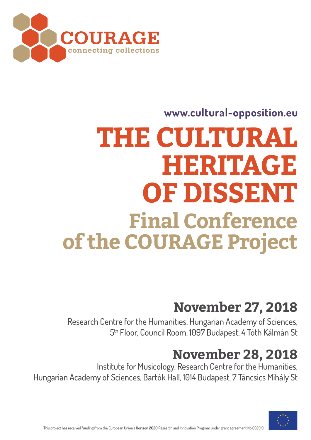## **November 27, 2018**

Research Centre for the Humanities, Hungarian Academy of Sciences, 5<sup>th</sup> Floor, Council Room, 1097 Budapest, 4 Tóth Kálmán St

## **November 28, 2018**

Institute for Musicology, Research Centre for the Humanities, Hungarian Academy of Sciences, Bartók Hall, 1014 Budapest, 7 Táncsics Mihály St



# **THE CULTURAL HERITAGE OF DISSENT Final Conference of the COURAGE Project**

This project has received funding from the European Union's **Horizon 2020** Research and Innovation Program under grant agreement No 692919.



### **[www.cultural-opposition.eu](http://cultural-opposition.eu/)**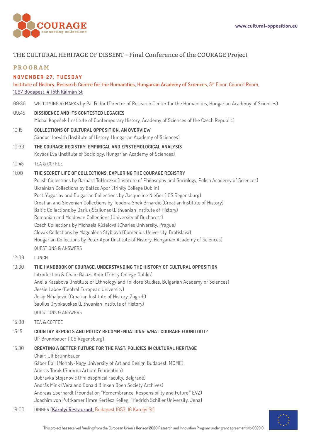This project has received funding from the European Union's **Horizon 2020** Research and Innovation Program under grant agreement No 692919.



#### THE CULTURAL HERITAGE OF DISSENT – Final Conference of the COURAGE Project

#### **PROGRAM**

#### **NOVEMBER 27, TUESDAY**

**Institute of History, Research Centre for the Humanities, Hungarian Academy of Sciences**, 5th Floor, Council Room, [1097 Budapest, 4 Tóth Kálmán St](https://goo.gl/maps/GVqDUzYh3pz)

- 09:30 WELCOMING REMARKS by Pál Fodor (Director of Research Center for the Humanities, Hungarian Academy of Sciences)
- 09:45 **DISSIDENCE AND ITS CONTESTED LEGACIES** Michal Kopeček (Institute of Contemporary History, Academy of Sciences of the Czech Republic)
- 10:15 **COLLECTIONS OF CULTURAL OPPOSITION: AN OVERVIEW** Sándor Horváth (Institute of History, Hungarian Academy of Sciences)
- 10:30 **THE COURAGE REGISTRY: EMPIRICAL AND EPISTEMOLOGICAL ANALYSIS** Kovács Éva (Institute of Sociology, Hungarian Academy of Sciences)
- 10:45 TEA & COFFEE

#### 11:00 **THE SECRET LIFE OF COLLECTIONS: EXPLORING THE COURAGE REGISTRY**

 Polish Collections by Barbara Tołłoczko (Institute of Philosophy and Sociology, Polish Academy of Sciences) Ukrainian Collections by Balázs Apor (Trinity College Dublin) Post-Yugoslav and Bulgarian Collections by Jacqueline Nießer (IOS Regensburg) Croatian and Slovenian Collections by Teodora Shek Brnardić (Croatian Institute of History) Baltic Collections by Darius Staliunas (Lithuanian Institute of History) Romanian and Moldovan Collections (University of Bucharest) Czech Collections by Michaela Kůželová (Charles University, Prague) Slovak Collections by Magdaléna Stýblová (Comenius University, Bratislava) Hungarian Collections by Péter Apor (Institute of History, Hungarian Academy of Sciences) QUESTIONS & ANSWERS

12:00 LUNCH

#### 13:30 **THE HANDBOOK OF COURAGE: UNDERSTANDING THE HISTORY OF CULTURAL OPPOSITION** Introduction & Chair: Balázs Apor (Trinity College Dublin)

Anelia Kasabova (Institute of Ethnology and Folklore Studies, Bulgarian Academy of Sciences)

Jessie Labov (Central European University)

Josip Mihaljević (Croatian Institute of History, Zagreb)

Saulius Grybkauskas (Lithuanian Institute of History)

QUESTIONS & ANSWERS

15:00 TEA & COFFEE

15:15 **COUNTRY REPORTS AND POLICY RECOMMENDATIONS: WHAT COURAGE FOUND OUT?** 

Ulf Brunnbauer (IOS Regensburg)

15:30 **CREATING A BETTER FUTURE FOR THE PAST: POLICIES IN CULTURAL HERITAGE** Chair: Ulf Brunnbauer Gábor Ébli (Moholy-Nagy University of Art and Design Budapest, MOME) András Török (Summa Artium Foundation) Dubravka Stojanović (Philosophical Faculty, Belgrade) András Mink (Vera and Donald Blinken Open Society Archives) Andreas Eberhardt (Foundation "Remembrance, Responsibility and Future," EVZ) Joachim von Puttkamer (Imre Kertész Kolleg, Friedrich Schiller University, Jena)

19:00 DINNER (**[Károlyi Restaurant](http://karolyietterem.hu/en)**, Budapest 1053, 16 Károlyi St)